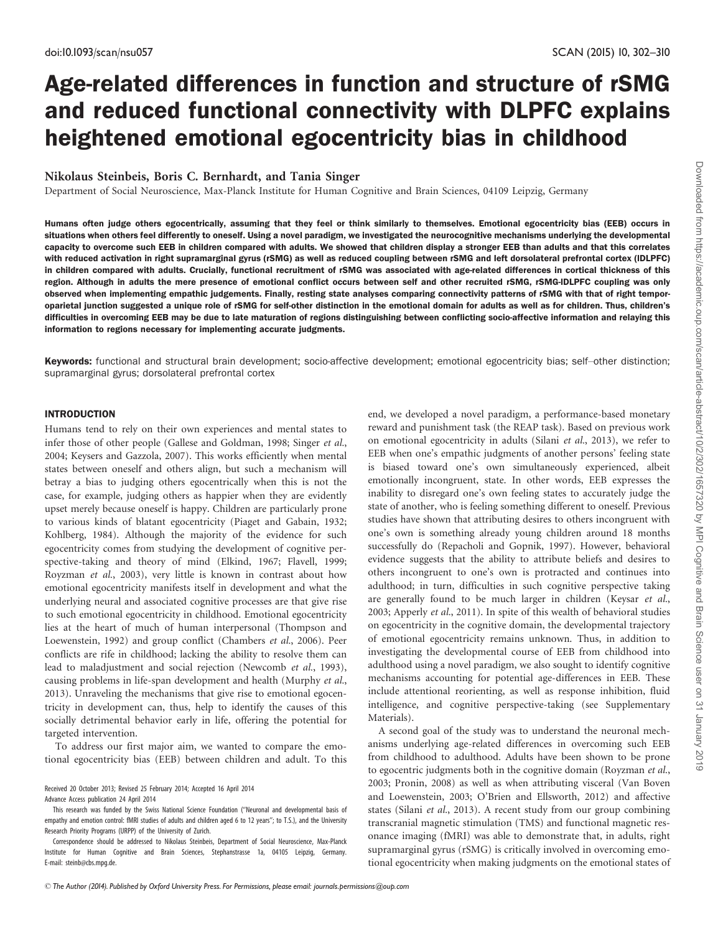# Age-related differences in function and structure of rSMG and reduced functional connectivity with DLPFC explains heightened emotional egocentricity bias in childhood

## Nikolaus Steinbeis, Boris C. Bernhardt, and Tania Singer

Department of Social Neuroscience, Max-Planck Institute for Human Cognitive and Brain Sciences, 04109 Leipzig, Germany

Humans often judge others egocentrically, assuming that they feel or think similarly to themselves. Emotional egocentricity bias (EEB) occurs in situations when others feel differently to oneself. Using a novel paradigm, we investigated the neurocognitive mechanisms underlying the developmental capacity to overcome such EEB in children compared with adults. We showed that children display a stronger EEB than adults and that this correlates with reduced activation in right supramarginal gyrus (rSMG) as well as reduced coupling between rSMG and left dorsolateral prefrontal cortex (lDLPFC) in children compared with adults. Crucially, functional recruitment of rSMG was associated with age-related differences in cortical thickness of this region. Although in adults the mere presence of emotional conflict occurs between self and other recruited rSMG, rSMG-lDLPFC coupling was only observed when implementing empathic judgements. Finally, resting state analyses comparing connectivity patterns of rSMG with that of right temporoparietal junction suggested a unique role of rSMG for self-other distinction in the emotional domain for adults as well as for children. Thus, children-s difficulties in overcoming EEB may be due to late maturation of regions distinguishing between conflicting socio-affective information and relaying this information to regions necessary for implementing accurate judgments.

Keywords: functional and structural brain development; socio-affective development; emotional egocentricity bias; self-other distinction; supramarginal gyrus; dorsolateral prefrontal cortex

#### INTRODUCTION

Humans tend to rely on their own experiences and mental states to infer those of other people [\(Gallese and Goldman, 1998](#page-8-0); [Singer](#page-8-0) et al., [2004](#page-8-0); [Keysers and Gazzola, 2007\)](#page-8-0). This works efficiently when mental states between oneself and others align, but such a mechanism will betray a bias to judging others egocentrically when this is not the case, for example, judging others as happier when they are evidently upset merely because oneself is happy. Children are particularly prone to various kinds of blatant egocentricity [\(Piaget and Gabain, 1932;](#page-8-0) [Kohlberg, 1984](#page-8-0)). Although the majority of the evidence for such egocentricity comes from studying the development of cognitive perspective-taking and theory of mind [\(Elkind, 1967; Flavell, 1999;](#page-8-0) [Royzman](#page-8-0) et al., 2003), very little is known in contrast about how emotional egocentricity manifests itself in development and what the underlying neural and associated cognitive processes are that give rise to such emotional egocentricity in childhood. Emotional egocentricity lies at the heart of much of human interpersonal [\(Thompson and](#page-8-0) [Loewenstein, 1992](#page-8-0)) and group conflict [\(Chambers](#page-7-0) et al., 2006). Peer conflicts are rife in childhood; lacking the ability to resolve them can lead to maladjustment and social rejection ([Newcomb](#page-8-0) et al., 1993), causing problems in life-span development and health ([Murphy](#page-8-0) et al., [2013](#page-8-0)). Unraveling the mechanisms that give rise to emotional egocentricity in development can, thus, help to identify the causes of this socially detrimental behavior early in life, offering the potential for targeted intervention.

To address our first major aim, we wanted to compare the emotional egocentricity bias (EEB) between children and adult. To this

Advance Access publication 24 April 2014

This research was funded by the Swiss National Science Foundation (''Neuronal and developmental basis of empathy and emotion control: fMRI studies of adults and children aged 6 to 12 years''; to T.S.), and the University Research Priority Programs (URPP) of the University of Zurich.

Correspondence should be addressed to Nikolaus Steinbeis, Department of Social Neuroscience, Max-Planck Institute for Human Cognitive and Brain Sciences, Stephanstrasse 1a, 04105 Leipzig, Germany. E-mail: steinb@cbs.mpg.de.

end, we developed a novel paradigm, a performance-based monetary reward and punishment task (the REAP task). Based on previous work on emotional egocentricity in adults (Silani et al.[, 2013](#page-8-0)), we refer to EEB when one's empathic judgments of another persons' feeling state is biased toward one's own simultaneously experienced, albeit emotionally incongruent, state. In other words, EEB expresses the inability to disregard one's own feeling states to accurately judge the state of another, who is feeling something different to oneself. Previous studies have shown that attributing desires to others incongruent with one's own is something already young children around 18 months successfully do [\(Repacholi and Gopnik, 1997](#page-8-0)). However, behavioral evidence suggests that the ability to attribute beliefs and desires to others incongruent to one's own is protracted and continues into adulthood; in turn, difficulties in such cognitive perspective taking are generally found to be much larger in children [\(Keysar](#page-8-0) et al., [2003;](#page-8-0) [Apperly](#page-7-0) et al., 2011). In spite of this wealth of behavioral studies on egocentricity in the cognitive domain, the developmental trajectory of emotional egocentricity remains unknown. Thus, in addition to investigating the developmental course of EEB from childhood into adulthood using a novel paradigm, we also sought to identify cognitive mechanisms accounting for potential age-differences in EEB. These include attentional reorienting, as well as response inhibition, fluid intelligence, and cognitive perspective-taking (see [Supplementary](http://scan.oxfordjournals.org/lookup/suppl/doi:10.1093/scan/nsu057/-/DC1) [Materials](http://scan.oxfordjournals.org/lookup/suppl/doi:10.1093/scan/nsu057/-/DC1)).

A second goal of the study was to understand the neuronal mechanisms underlying age-related differences in overcoming such EEB from childhood to adulthood. Adults have been shown to be prone to egocentric judgments both in the cognitive domain [\(Royzman](#page-8-0) et al., [2003; Pronin, 2008\)](#page-8-0) as well as when attributing visceral [\(Van Boven](#page-8-0) [and Loewenstein, 2003](#page-8-0); [O'Brien and Ellsworth, 2012\)](#page-8-0) and affective states (Silani et al.[, 2013\)](#page-8-0). A recent study from our group combining transcranial magnetic stimulation (TMS) and functional magnetic resonance imaging (fMRI) was able to demonstrate that, in adults, right supramarginal gyrus (rSMG) is critically involved in overcoming emotional egocentricity when making judgments on the emotional states of

Received 20 October 2013; Revised 25 February 2014; Accepted 16 April 2014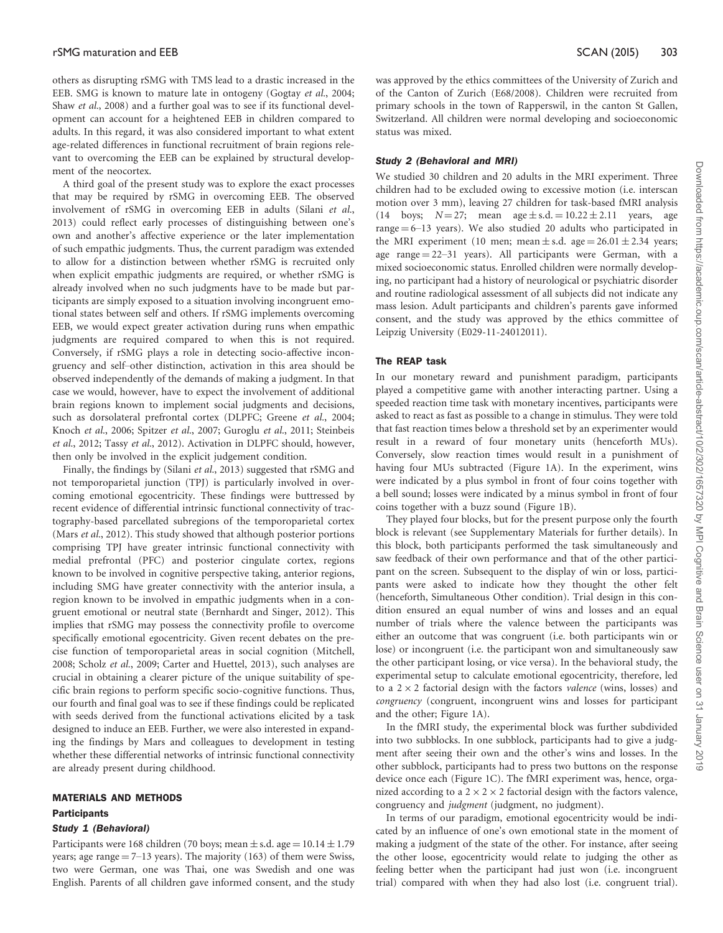#### rSMG maturation and EEB  $\sim$  SCAN (2015) 303

others as disrupting rSMG with TMS lead to a drastic increased in the EEB. SMG is known to mature late in ontogeny ([Gogtay](#page-8-0) et al., 2004; Shaw et al.[, 2008\)](#page-8-0) and a further goal was to see if its functional development can account for a heightened EEB in children compared to adults. In this regard, it was also considered important to what extent age-related differences in functional recruitment of brain regions relevant to overcoming the EEB can be explained by structural development of the neocortex.

A third goal of the present study was to explore the exact processes that may be required by rSMG in overcoming EEB. The observed involvement of rSMG in overcoming EEB in adults ([Silani](#page-8-0) et al., [2013\)](#page-8-0) could reflect early processes of distinguishing between one's own and another's affective experience or the later implementation of such empathic judgments. Thus, the current paradigm was extended to allow for a distinction between whether rSMG is recruited only when explicit empathic judgments are required, or whether rSMG is already involved when no such judgments have to be made but participants are simply exposed to a situation involving incongruent emotional states between self and others. If rSMG implements overcoming EEB, we would expect greater activation during runs when empathic judgments are required compared to when this is not required. Conversely, if rSMG plays a role in detecting socio-affective incongruency and self–other distinction, activation in this area should be observed independently of the demands of making a judgment. In that case we would, however, have to expect the involvement of additional brain regions known to implement social judgments and decisions, such as dorsolateral prefrontal cortex (DLPFC; [Greene](#page-8-0) et al., 2004; [Knoch](#page-8-0) et al., 2006; [Spitzer](#page-8-0) et al., 2007; [Guroglu](#page-8-0) et al., 2011; [Steinbeis](#page-8-0) et al.[, 2012;](#page-8-0) Tassy et al.[, 2012\)](#page-8-0). Activation in DLPFC should, however, then only be involved in the explicit judgement condition.

Finally, the findings by (Silani et al.[, 2013](#page-8-0)) suggested that rSMG and not temporoparietal junction (TPJ) is particularly involved in overcoming emotional egocentricity. These findings were buttressed by recent evidence of differential intrinsic functional connectivity of tractography-based parcellated subregions of the temporoparietal cortex (Mars et al.[, 2012\)](#page-8-0). This study showed that although posterior portions comprising TPJ have greater intrinsic functional connectivity with medial prefrontal (PFC) and posterior cingulate cortex, regions known to be involved in cognitive perspective taking, anterior regions, including SMG have greater connectivity with the anterior insula, a region known to be involved in empathic judgments when in a congruent emotional or neutral state [\(Bernhardt and Singer, 2012\)](#page-7-0). This implies that rSMG may possess the connectivity profile to overcome specifically emotional egocentricity. Given recent debates on the precise function of temporoparietal areas in social cognition [\(Mitchell,](#page-8-0) [2008; Scholz](#page-8-0) et al., 2009; [Carter and Huettel, 2013\)](#page-7-0), such analyses are crucial in obtaining a clearer picture of the unique suitability of specific brain regions to perform specific socio-cognitive functions. Thus, our fourth and final goal was to see if these findings could be replicated with seeds derived from the functional activations elicited by a task designed to induce an EEB. Further, we were also interested in expanding the findings by Mars and colleagues to development in testing whether these differential networks of intrinsic functional connectivity are already present during childhood.

## MATERIALS AND METHODS **Participants**

#### Study 1 (Behavioral)

Participants were 168 children (70 boys; mean  $\pm$  s.d. age  $=$  10.14  $\pm$  1.79 years; age range  $= 7-13$  years). The majority (163) of them were Swiss, two were German, one was Thai, one was Swedish and one was English. Parents of all children gave informed consent, and the study was approved by the ethics committees of the University of Zurich and of the Canton of Zurich (E68/2008). Children were recruited from primary schools in the town of Rapperswil, in the canton St Gallen, Switzerland. All children were normal developing and socioeconomic status was mixed.

#### Study 2 (Behavioral and MRI)

We studied 30 children and 20 adults in the MRI experiment. Three children had to be excluded owing to excessive motion (i.e. interscan motion over 3 mm), leaving 27 children for task-based fMRI analysis (14 boys;  $N = 27$ ; mean age  $\pm$  s.d.  $= 10.22 \pm 2.11$  years, age range  $= 6-13$  years). We also studied 20 adults who participated in the MRI experiment (10 men; mean  $\pm$  s.d. age = 26.01  $\pm$  2.34 years; age range  $= 22-31$  years). All participants were German, with a mixed socioeconomic status. Enrolled children were normally developing, no participant had a history of neurological or psychiatric disorder and routine radiological assessment of all subjects did not indicate any mass lesion. Adult participants and children's parents gave informed consent, and the study was approved by the ethics committee of Leipzig University (E029-11-24012011).

## The REAP task

In our monetary reward and punishment paradigm, participants played a competitive game with another interacting partner. Using a speeded reaction time task with monetary incentives, participants were asked to react as fast as possible to a change in stimulus. They were told that fast reaction times below a threshold set by an experimenter would result in a reward of four monetary units (henceforth MUs). Conversely, slow reaction times would result in a punishment of having four MUs subtracted ([Figure 1](#page-2-0)A). In the experiment, wins were indicated by a plus symbol in front of four coins together with a bell sound; losses were indicated by a minus symbol in front of four coins together with a buzz sound [\(Figure 1B](#page-2-0)).

They played four blocks, but for the present purpose only the fourth block is relevant (see [Supplementary Materials](http://scan.oxfordjournals.org/lookup/suppl/doi:10.1093/scan/nsu057/-/DC1) for further details). In this block, both participants performed the task simultaneously and saw feedback of their own performance and that of the other participant on the screen. Subsequent to the display of win or loss, participants were asked to indicate how they thought the other felt (henceforth, Simultaneous Other condition). Trial design in this condition ensured an equal number of wins and losses and an equal number of trials where the valence between the participants was either an outcome that was congruent (i.e. both participants win or lose) or incongruent (i.e. the participant won and simultaneously saw the other participant losing, or vice versa). In the behavioral study, the experimental setup to calculate emotional egocentricity, therefore, led to a  $2 \times 2$  factorial design with the factors valence (wins, losses) and congruency (congruent, incongruent wins and losses for participant and the other; [Figure 1A](#page-2-0)).

In the fMRI study, the experimental block was further subdivided into two subblocks. In one subblock, participants had to give a judgment after seeing their own and the other's wins and losses. In the other subblock, participants had to press two buttons on the response device once each [\(Figure 1](#page-2-0)C). The fMRI experiment was, hence, organized according to a  $2 \times 2 \times 2$  factorial design with the factors valence, congruency and judgment (judgment, no judgment).

In terms of our paradigm, emotional egocentricity would be indicated by an influence of one's own emotional state in the moment of making a judgment of the state of the other. For instance, after seeing the other loose, egocentricity would relate to judging the other as feeling better when the participant had just won (i.e. incongruent trial) compared with when they had also lost (i.e. congruent trial).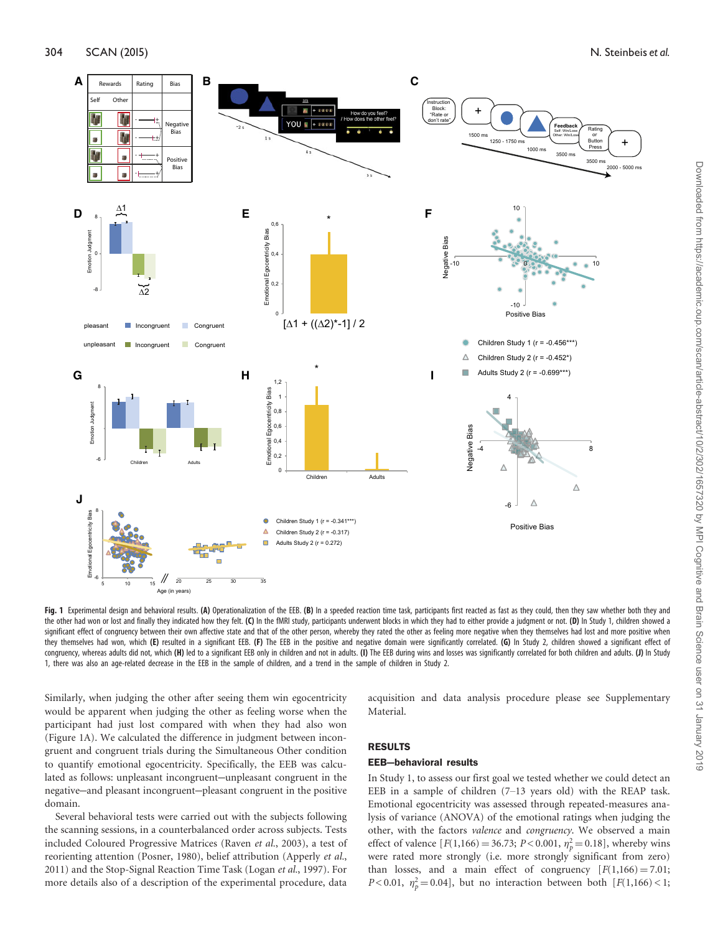<span id="page-2-0"></span>

Fig. 1 Experimental design and behavioral results. (A) Operationalization of the EEB. (B) In a speeded reaction time task, participants first reacted as fast as they could, then they saw whether both they and the other had won or lost and finally they indicated how they felt. (C) In the fMRI study, participants underwent blocks in which they had to either provide a judgment or not. (D) In Study 1, children showed a significant effect of congruency between their own affective state and that of the other person, whereby they rated the other as feeling more negative when they themselves had lost and more positive when they themselves had won, which (E) resulted in a significant EEB. (F) The EEB in the positive and negative domain were significantly correlated. (G) In Study 2, children showed a significant effect of congruency, whereas adults did not, which (H) led to a significant EEB only in children and not in adults. (I) The EEB during wins and losses was significantly correlated for both children and adults. (J) In Study 1, there was also an age-related decrease in the EEB in the sample of children, and a trend in the sample of children in Study 2.

Similarly, when judging the other after seeing them win egocentricity would be apparent when judging the other as feeling worse when the participant had just lost compared with when they had also won (Figure 1A). We calculated the difference in judgment between incongruent and congruent trials during the Simultaneous Other condition to quantify emotional egocentricity. Specifically, the EEB was calculated as follows: unpleasant incongruent-unpleasant congruent in the negative-and pleasant incongruent-pleasant congruent in the positive domain.

Several behavioral tests were carried out with the subjects following the scanning sessions, in a counterbalanced order across subjects. Tests included Coloured Progressive Matrices [\(Raven](#page-8-0) et al., 2003), a test of reorienting attention ([Posner, 1980\)](#page-8-0), belief attribution ([Apperly](#page-7-0) et al., [2011](#page-7-0)) and the Stop-Signal Reaction Time Task ([Logan](#page-8-0) et al., 1997). For more details also of a description of the experimental procedure, data

acquisition and data analysis procedure please see [Supplementary](http://scan.oxfordjournals.org/lookup/suppl/doi:10.1093/scan/nsu057/-/DC1) **[Material](http://scan.oxfordjournals.org/lookup/suppl/doi:10.1093/scan/nsu057/-/DC1)** 

## RESULTS

#### **EEB-behavioral results**

In Study 1, to assess our first goal we tested whether we could detect an EEB in a sample of children (7–13 years old) with the REAP task. Emotional egocentricity was assessed through repeated-measures analysis of variance (ANOVA) of the emotional ratings when judging the other, with the factors valence and congruency. We observed a main effect of valence  $[F(1,166) = 36.73; P < 0.001, \eta_p^2 = 0.18]$ , whereby wins were rated more strongly (i.e. more strongly significant from zero) than losses, and a main effect of congruency  $[F(1,166) = 7.01;$ *P*<0.01,  $\eta_p^2$  = 0.04], but no interaction between both [*F*(1,166) < 1;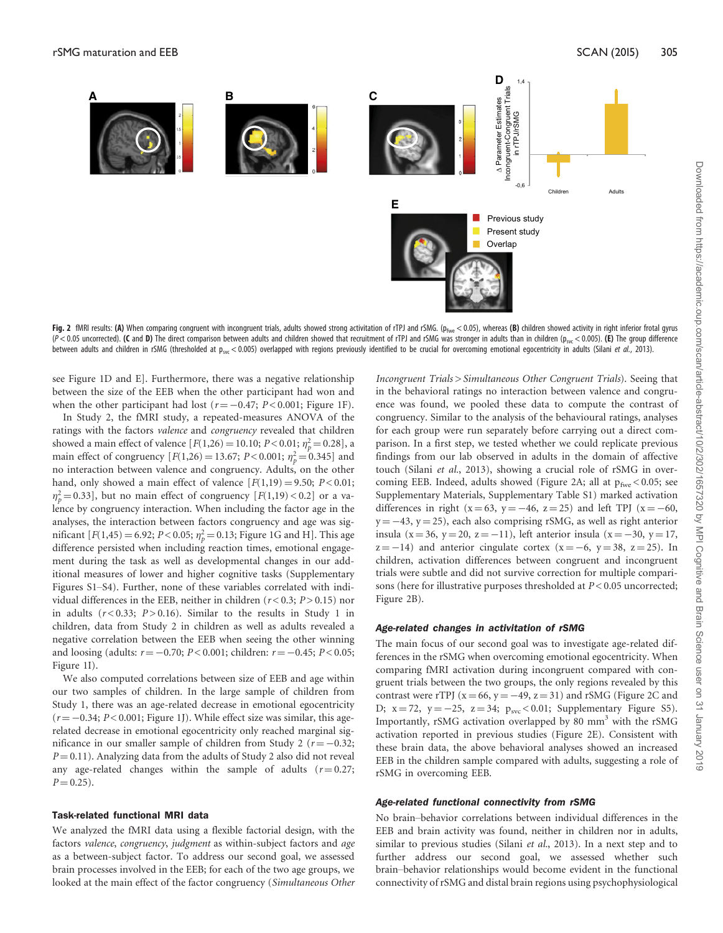

Fig. 2 fMRI results: (A) When comparing congruent with incongruent trials, adults showed strong activitation of rTPJ and rSMG. (p<sub>fwe</sub> < 0.05), whereas (B) children showed activity in right inferior frotal gyrus  $(P < 0.05$  uncorrected). (C and D) The direct comparison between adults and children showed that recruitment of rTPJ and rSMG was stronger in adults than in children (p<sub>sv</sub> < 0.005). (E) The group difference between adults and children in rSMG (thresholded at  $p_{sv} < 0.005$ ) overlapped with regions previously identified to be crucial for overcoming emotional egocentricity in adults (Silani et al.[, 2013\)](#page-8-0).

see [Figure 1](#page-2-0)D and E]. Furthermore, there was a negative relationship between the size of the EEB when the other participant had won and when the other participant had lost ( $r = -0.47$ ;  $P < 0.001$ ; [Figure 1F](#page-2-0)).

In Study 2, the fMRI study, a repeated-measures ANOVA of the ratings with the factors valence and congruency revealed that children showed a main effect of valence  $[F(1,26) = 10.10; P < 0.01; \eta_p^2 = 0.28]$ , a main effect of congruency  $[F(1,26) = 13.67; P < 0.001; \eta_p^2 = 0.345]$  and no interaction between valence and congruency. Adults, on the other hand, only showed a main effect of valence  $[F(1,19) = 9.50; P < 0.01;$  $\eta_p^2 = 0.33$ , but no main effect of congruency  $[F(1,19) < 0.2]$  or a valence by congruency interaction. When including the factor age in the analyses, the interaction between factors congruency and age was significant [ $F(1,45) = 6.92$ ;  $P < 0.05$ ;  $\eta_p^2 = 0.13$ ; [Figure 1](#page-2-0)G and H]. This age difference persisted when including reaction times, emotional engagement during the task as well as developmental changes in our additional measures of lower and higher cognitive tasks ([Supplementary](http://scan.oxfordjournals.org/lookup/suppl/doi:10.1093/scan/nsu057/-/DC1) [Figures S1](http://scan.oxfordjournals.org/lookup/suppl/doi:10.1093/scan/nsu057/-/DC1)–[S4](http://scan.oxfordjournals.org/lookup/suppl/doi:10.1093/scan/nsu057/-/DC1)). Further, none of these variables correlated with individual differences in the EEB, neither in children ( $r < 0.3$ ;  $P > 0.15$ ) nor in adults  $(r < 0.33; P > 0.16)$ . Similar to the results in Study 1 in children, data from Study 2 in children as well as adults revealed a negative correlation between the EEB when seeing the other winning and loosing (adults:  $r = -0.70$ ;  $P < 0.001$ ; children:  $r = -0.45$ ;  $P < 0.05$ ; [Figure 1I](#page-2-0)).

We also computed correlations between size of EEB and age within our two samples of children. In the large sample of children from Study 1, there was an age-related decrease in emotional egocentricity  $(r = -0.34; P < 0.001;$  [Figure 1J](#page-2-0)). While effect size was similar, this agerelated decrease in emotional egocentricity only reached marginal significance in our smaller sample of children from Study 2 ( $r = -0.32$ ;  $P = 0.11$ ). Analyzing data from the adults of Study 2 also did not reveal any age-related changes within the sample of adults  $(r=0.27;$  $P = 0.25$ .

## Task-related functional MRI data

We analyzed the fMRI data using a flexible factorial design, with the factors valence, congruency, judgment as within-subject factors and age as a between-subject factor. To address our second goal, we assessed brain processes involved in the EEB; for each of the two age groups, we looked at the main effect of the factor congruency (Simultaneous Other Incongruent Trials > Simultaneous Other Congruent Trials). Seeing that in the behavioral ratings no interaction between valence and congruence was found, we pooled these data to compute the contrast of congruency. Similar to the analysis of the behavioural ratings, analyses for each group were run separately before carrying out a direct comparison. In a first step, we tested whether we could replicate previous findings from our lab observed in adults in the domain of affective touch (Silani et al.[, 2013\)](#page-8-0), showing a crucial role of rSMG in overcoming EEB. Indeed, adults showed (Figure 2A; all at  $p_{fwe}$  < 0.05; see [Supplementary Materials](http://scan.oxfordjournals.org/lookup/suppl/doi:10.1093/scan/nsu057/-/DC1), [Supplementary Table S1](http://scan.oxfordjournals.org/lookup/suppl/doi:10.1093/scan/nsu057/-/DC1)) marked activation differences in right ( $x = 63$ ,  $y = -46$ ,  $z = 25$ ) and left TPJ ( $x = -60$ ,  $y = -43$ ,  $y = 25$ ), each also comprising rSMG, as well as right anterior insula (x = 36, y = 20, z = -11), left anterior insula (x = -30, y = 17,  $z = -14$ ) and anterior cingulate cortex  $(x = -6, y = 38, z = 25)$ . In children, activation differences between congruent and incongruent trials were subtle and did not survive correction for multiple comparisons (here for illustrative purposes thresholded at  $P < 0.05$  uncorrected; Figure 2B).

#### Age-related changes in activitation of rSMG

The main focus of our second goal was to investigate age-related differences in the rSMG when overcoming emotional egocentricity. When comparing fMRI activation during incongruent compared with congruent trials between the two groups, the only regions revealed by this contrast were rTPJ ( $x = 66$ ,  $y = -49$ ,  $z = 31$ ) and rSMG (Figure 2C and D;  $x = 72$ ,  $y = -25$ ,  $z = 34$ ;  $p_{syc} < 0.01$ ; [Supplementary Figure S5\)](http://scan.oxfordjournals.org/lookup/suppl/doi:10.1093/scan/nsu057/-/DC1). Importantly, rSMG activation overlapped by 80 mm<sup>3</sup> with the rSMG activation reported in previous studies (Figure 2E). Consistent with these brain data, the above behavioral analyses showed an increased EEB in the children sample compared with adults, suggesting a role of rSMG in overcoming EEB.

#### Age-related functional connectivity from rSMG

No brain–behavior correlations between individual differences in the EEB and brain activity was found, neither in children nor in adults, similar to previous studies (Silani et al.[, 2013\)](#page-8-0). In a next step and to further address our second goal, we assessed whether such brain–behavior relationships would become evident in the functional connectivity of rSMG and distal brain regions using psychophysiological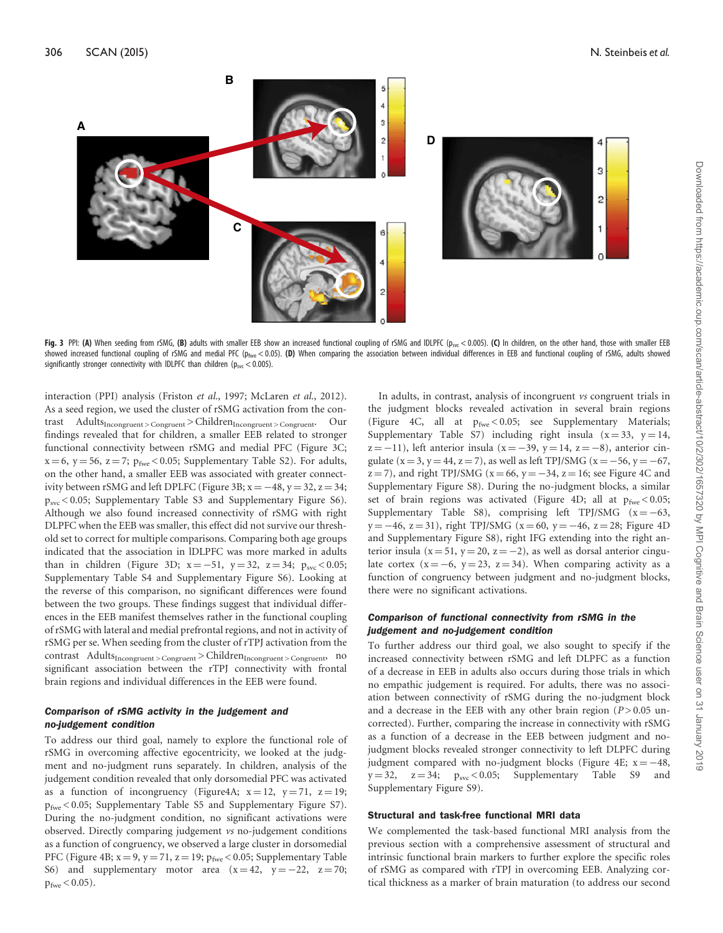

Fig. 3 PPI: (A) When seeding from rSMG, (B) adults with smaller EEB show an increased functional coupling of rSMG and IDLPFC (p<sub>svc</sub> < 0.005). (C) In children, on the other hand, those with smaller EEB showed increased functional coupling of rSMG and medial PFC ( $p_{fwe}$  < 0.05). (D) When comparing the association between individual differences in EEB and functional coupling of rSMG, adults showed significantly stronger connectivity with IDLPFC than children ( $p_{\rm sw}$  < 0.005).

interaction (PPI) analysis ([Friston](#page-8-0) et al., 1997; [McLaren](#page-8-0) et al., 2012). As a seed region, we used the cluster of rSMG activation from the contrast  $Adults_{Incongruent} > Congruent > Children_{Incongruent} > Congruent$ . Our findings revealed that for children, a smaller EEB related to stronger functional connectivity between rSMG and medial PFC (Figure 3C;  $x = 6$ ,  $y = 56$ ,  $z = 7$ ;  $p_{fwe} < 0.05$ ; [Supplementary Table S2](http://scan.oxfordjournals.org/lookup/suppl/doi:10.1093/scan/nsu057/-/DC1)). For adults, on the other hand, a smaller EEB was associated with greater connectivity between rSMG and left DPLFC (Figure 3B;  $x = -48$ ,  $y = 32$ ,  $z = 34$ ;  $p_{\rm src}$  < 0.05; [Supplementary Table S3](http://scan.oxfordjournals.org/lookup/suppl/doi:10.1093/scan/nsu057/-/DC1) and [Supplementary Figure S6](http://scan.oxfordjournals.org/lookup/suppl/doi:10.1093/scan/nsu057/-/DC1)). Although we also found increased connectivity of rSMG with right DLPFC when the EEB was smaller, this effect did not survive our threshold set to correct for multiple comparisons. Comparing both age groups indicated that the association in lDLPFC was more marked in adults than in children (Figure 3D;  $x = -51$ ,  $y = 32$ ,  $z = 34$ ;  $p_{\text{src}} < 0.05$ ; [Supplementary Table S4](http://scan.oxfordjournals.org/lookup/suppl/doi:10.1093/scan/nsu057/-/DC1) and [Supplementary Figure S6\)](http://scan.oxfordjournals.org/lookup/suppl/doi:10.1093/scan/nsu057/-/DC1). Looking at the reverse of this comparison, no significant differences were found between the two groups. These findings suggest that individual differences in the EEB manifest themselves rather in the functional coupling of rSMG with lateral and medial prefrontal regions, and not in activity of rSMG per se. When seeding from the cluster of rTPJ activation from the  $contrast$   $Adult_{Incongruent} >$   $Congruent$   $>$   $Childer_{Incongruent} >$   $Congruent$ significant association between the rTPJ connectivity with frontal brain regions and individual differences in the EEB were found.

#### Comparison of rSMG activity in the judgement and no-judgement condition

To address our third goal, namely to explore the functional role of rSMG in overcoming affective egocentricity, we looked at the judgment and no-judgment runs separately. In children, analysis of the judgement condition revealed that only dorsomedial PFC was activated as a function of incongruency (Figure 4A;  $x = 12$ ,  $y = 71$ ,  $z = 19$ ; pfwe < 0.05; [Supplementary Table S5](http://scan.oxfordjournals.org/lookup/suppl/doi:10.1093/scan/nsu057/-/DC1) and [Supplementary Figure S7](http://scan.oxfordjournals.org/lookup/suppl/doi:10.1093/scan/nsu057/-/DC1)). During the no-judgment condition, no significant activations were observed. Directly comparing judgement vs no-judgement conditions as a function of congruency, we observed a large cluster in dorsomedial PFC [\(Figure 4B](#page-5-0);  $x = 9$ ,  $y = 71$ ,  $z = 19$ ;  $p_{fwe} < 0.05$ ; [Supplementary Table](http://scan.oxfordjournals.org/lookup/suppl/doi:10.1093/scan/nsu057/-/DC1) [S6](http://scan.oxfordjournals.org/lookup/suppl/doi:10.1093/scan/nsu057/-/DC1)) and supplementary motor area  $(x=42, y=-22, z=70;$  $p_{fwe}$  < 0.05).

In adults, in contrast, analysis of incongruent vs congruent trials in the judgment blocks revealed activation in several brain regions [\(Figure 4](#page-5-0)C, all at  $p_{fwe} < 0.05$ ; see [Supplementary Materials;](http://scan.oxfordjournals.org/lookup/suppl/doi:10.1093/scan/nsu057/-/DC1) [Supplementary Table S7](http://scan.oxfordjournals.org/lookup/suppl/doi:10.1093/scan/nsu057/-/DC1)) including right insula  $(x=33, y=14,$  $z = -11$ ), left anterior insula ( $x = -39$ ,  $y = 14$ ,  $z = -8$ ), anterior cingulate (x = 3, y = 44, z = 7), as well as left TPJ/SMG (x =  $-56$ , y =  $-67$ ,  $z = 7$ ), and right TPJ/SMG ( $x = 66$ ,  $y = -34$ ,  $z = 16$ ; see [Figure 4C](#page-5-0) and [Supplementary Figure S8](http://scan.oxfordjournals.org/lookup/suppl/doi:10.1093/scan/nsu057/-/DC1)). During the no-judgment blocks, a similar set of brain regions was activated [\(Figure 4](#page-5-0)D; all at  $p_{\rm fwe}$  < 0.05; [Supplementary Table S8\)](http://scan.oxfordjournals.org/lookup/suppl/doi:10.1093/scan/nsu057/-/DC1), comprising left TPJ/SMG  $(x = -63,$  $y = -46$ ,  $z = 31$ ), right TPJ/SMG ( $x = 60$ ,  $y = -46$ ,  $z = 28$ ; [Figure 4](#page-5-0)D and [Supplementary Figure S8](http://scan.oxfordjournals.org/lookup/suppl/doi:10.1093/scan/nsu057/-/DC1)), right IFG extending into the right anterior insula ( $x = 51$ ,  $y = 20$ ,  $z = -2$ ), as well as dorsal anterior cingulate cortex  $(x = -6, y = 23, z = 34)$ . When comparing activity as a function of congruency between judgment and no-judgment blocks, there were no significant activations.

## Comparison of functional connectivity from rSMG in the judgement and no-judgement condition

To further address our third goal, we also sought to specify if the increased connectivity between rSMG and left DLPFC as a function of a decrease in EEB in adults also occurs during those trials in which no empathic judgement is required. For adults, there was no association between connectivity of rSMG during the no-judgment block and a decrease in the EEB with any other brain region  $(P > 0.05$  uncorrected). Further, comparing the increase in connectivity with rSMG as a function of a decrease in the EEB between judgment and nojudgment blocks revealed stronger connectivity to left DLPFC during judgment compared with no-judgment blocks [\(Figure 4E](#page-5-0);  $x = -48$ ,  $y = 32$ ,  $z = 34$ ;  $p_{\text{src}} < 0.05$ ; [Supplementary Table S9](http://scan.oxfordjournals.org/lookup/suppl/doi:10.1093/scan/nsu057/-/DC1) and [Supplementary Figure S9](http://scan.oxfordjournals.org/lookup/suppl/doi:10.1093/scan/nsu057/-/DC1)).

## Structural and task-free functional MRI data

We complemented the task-based functional MRI analysis from the previous section with a comprehensive assessment of structural and intrinsic functional brain markers to further explore the specific roles of rSMG as compared with rTPJ in overcoming EEB. Analyzing cortical thickness as a marker of brain maturation (to address our second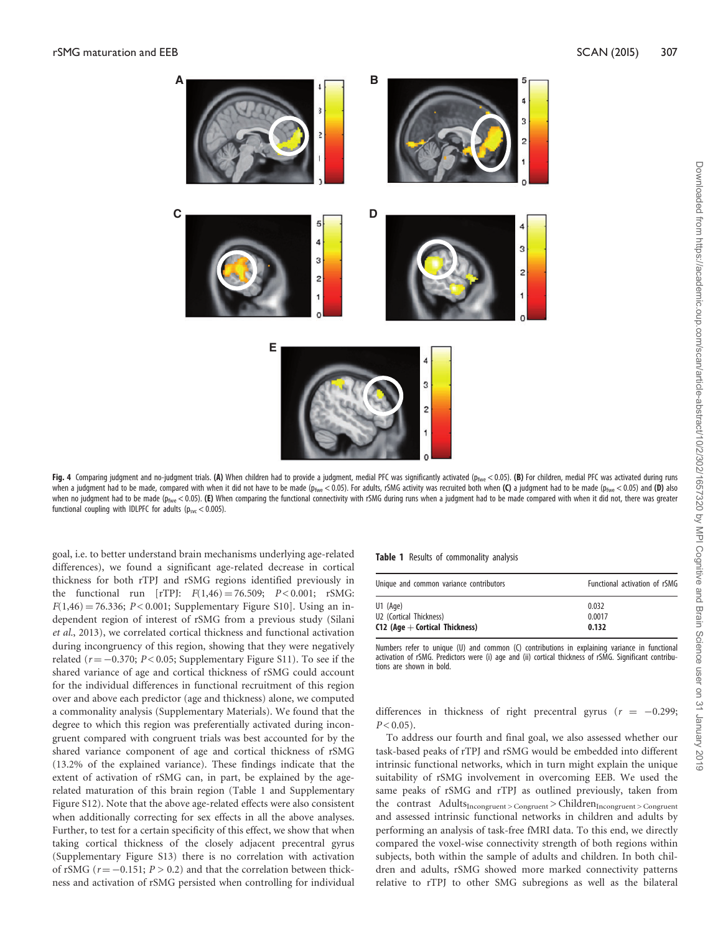<span id="page-5-0"></span>

Fig. 4 Comparing judgment and no-judgment trials. (A) When children had to provide a judgment, medial PFC was significantly activated (p<sub>fwe</sub> < 0.05). (B) For children, medial PFC was activated during runs when a judgment had to be made, compared with when it did not have to be made ( $p_{fwe} < 0.05$ ). For adults, rSMG activity was recruited both when (C) a judgment had to be made ( $p_{fwe} < 0.05$ ) and (D) also when no judgment had to be made ( $p_{\text{fwe}} < 0.05$ ). (E) When comparing the functional connectivity with rSMG during runs when a judgment had to be made compared with when it did not, there was greater functional coupling with IDLPFC for adults ( $p_{svc}$  < 0.005).

goal, i.e. to better understand brain mechanisms underlying age-related differences), we found a significant age-related decrease in cortical thickness for both rTPJ and rSMG regions identified previously in the functional run [rTPJ:  $F(1,46) = 76.509$ ;  $P < 0.001$ ; rSMG:  $F(1,46) = 76.336$ ; P < 0.001; [Supplementary Figure S10\]](http://scan.oxfordjournals.org/lookup/suppl/doi:10.1093/scan/nsu057/-/DC1). Using an independent region of interest of rSMG from a previous study [\(Silani](#page-8-0) et al.[, 2013\)](#page-8-0), we correlated cortical thickness and functional activation during incongruency of this region, showing that they were negatively related ( $r = -0.370$ ;  $P < 0.05$ ; [Supplementary Figure S11\)](http://scan.oxfordjournals.org/lookup/suppl/doi:10.1093/scan/nsu057/-/DC1). To see if the shared variance of age and cortical thickness of rSMG could account for the individual differences in functional recruitment of this region over and above each predictor (age and thickness) alone, we computed a commonality analysis ([Supplementary Materials](http://scan.oxfordjournals.org/lookup/suppl/doi:10.1093/scan/nsu057/-/DC1)). We found that the degree to which this region was preferentially activated during incongruent compared with congruent trials was best accounted for by the shared variance component of age and cortical thickness of rSMG (13.2% of the explained variance). These findings indicate that the extent of activation of rSMG can, in part, be explained by the agerelated maturation of this brain region (Table 1 and [Supplementary](http://scan.oxfordjournals.org/lookup/suppl/doi:10.1093/scan/nsu057/-/DC1) [Figure S12](http://scan.oxfordjournals.org/lookup/suppl/doi:10.1093/scan/nsu057/-/DC1)). Note that the above age-related effects were also consistent when additionally correcting for sex effects in all the above analyses. Further, to test for a certain specificity of this effect, we show that when taking cortical thickness of the closely adjacent precentral gyrus ([Supplementary Figure S13\)](http://scan.oxfordjournals.org/lookup/suppl/doi:10.1093/scan/nsu057/-/DC1) there is no correlation with activation of rSMG ( $r = -0.151$ ;  $P > 0.2$ ) and that the correlation between thickness and activation of rSMG persisted when controlling for individual

#### Table 1 Results of commonality analysis

|                                         | Functional activation of rSMG |
|-----------------------------------------|-------------------------------|
| Unique and common variance contributors |                               |
| $U1$ (Age)<br>U2 (Cortical Thickness)   | 0.032<br>0.0017<br>0.132      |
| $C12$ (Age $+$ Cortical Thickness)      |                               |

Numbers refer to unique (U) and common (C) contributions in explaining variance in functional activation of rSMG. Predictors were (i) age and (ii) cortical thickness of rSMG. Significant contributions are shown in bold.

differences in thickness of right precentral gyrus ( $r = -0.299$ ;  $P < 0.05$ ).

To address our fourth and final goal, we also assessed whether our task-based peaks of rTPJ and rSMG would be embedded into different intrinsic functional networks, which in turn might explain the unique suitability of rSMG involvement in overcoming EEB. We used the same peaks of rSMG and rTPJ as outlined previously, taken from the contrast  $Adults_{Incongruent} > Congruent > Children_{Incongruent} > Congruent$ and assessed intrinsic functional networks in children and adults by performing an analysis of task-free fMRI data. To this end, we directly compared the voxel-wise connectivity strength of both regions within subjects, both within the sample of adults and children. In both children and adults, rSMG showed more marked connectivity patterns relative to rTPJ to other SMG subregions as well as the bilateral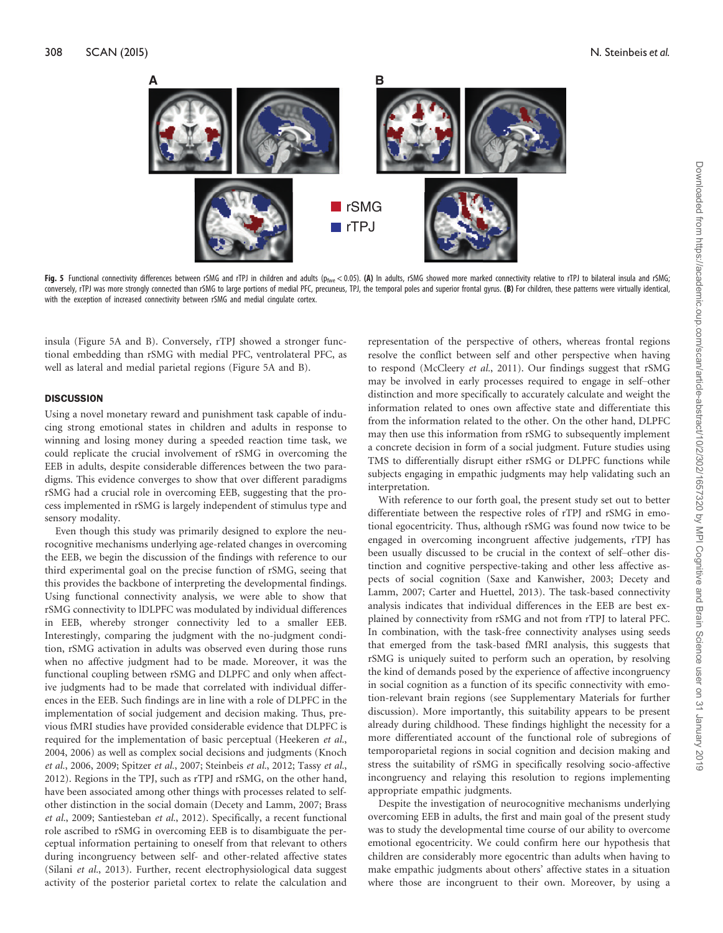

Fig. 5 Functional connectivity differences between rSMG and rTPJ in children and adults (p<sub>fwe</sub> < 0.05). (A) In adults, rSMG showed more marked connectivity relative to rTPJ to bilateral insula and rSMG; conversely, rTPJ was more strongly connected than rSMG to large portions of medial PFC, precuneus, TPJ, the temporal poles and superior frontal gyrus. (B) For children, these patterns were virtually identical, with the exception of increased connectivity between rSMG and medial cingulate cortex.

insula (Figure 5A and B). Conversely, rTPJ showed a stronger functional embedding than rSMG with medial PFC, ventrolateral PFC, as well as lateral and medial parietal regions (Figure 5A and B).

#### **DISCUSSION**

Using a novel monetary reward and punishment task capable of inducing strong emotional states in children and adults in response to winning and losing money during a speeded reaction time task, we could replicate the crucial involvement of rSMG in overcoming the EEB in adults, despite considerable differences between the two paradigms. This evidence converges to show that over different paradigms rSMG had a crucial role in overcoming EEB, suggesting that the process implemented in rSMG is largely independent of stimulus type and sensory modality.

Even though this study was primarily designed to explore the neurocognitive mechanisms underlying age-related changes in overcoming the EEB, we begin the discussion of the findings with reference to our third experimental goal on the precise function of rSMG, seeing that this provides the backbone of interpreting the developmental findings. Using functional connectivity analysis, we were able to show that rSMG connectivity to lDLPFC was modulated by individual differences in EEB, whereby stronger connectivity led to a smaller EEB. Interestingly, comparing the judgment with the no-judgment condition, rSMG activation in adults was observed even during those runs when no affective judgment had to be made. Moreover, it was the functional coupling between rSMG and DLPFC and only when affective judgments had to be made that correlated with individual differences in the EEB. Such findings are in line with a role of DLPFC in the implementation of social judgement and decision making. Thus, previous fMRI studies have provided considerable evidence that DLPFC is required for the implementation of basic perceptual [\(Heekeren](#page-8-0) et al., [2004](#page-8-0), [2006\)](#page-8-0) as well as complex social decisions and judgments ([Knoch](#page-8-0) et al.[, 2006, 2009; Spitzer](#page-8-0) et al., 2007; [Steinbeis](#page-8-0) et al., 2012; [Tassy](#page-8-0) et al., [2012](#page-8-0)). Regions in the TPJ, such as rTPJ and rSMG, on the other hand, have been associated among other things with processes related to selfother distinction in the social domain ([Decety and Lamm, 2007](#page-8-0); [Brass](#page-7-0) et al.[, 2009;](#page-7-0) [Santiesteban](#page-8-0) et al., 2012). Specifically, a recent functional role ascribed to rSMG in overcoming EEB is to disambiguate the perceptual information pertaining to oneself from that relevant to others during incongruency between self- and other-related affective states (Silani et al.[, 2013](#page-8-0)). Further, recent electrophysiological data suggest activity of the posterior parietal cortex to relate the calculation and representation of the perspective of others, whereas frontal regions resolve the conflict between self and other perspective when having to respond ([McCleery](#page-8-0) et al., 2011). Our findings suggest that rSMG may be involved in early processes required to engage in self–other distinction and more specifically to accurately calculate and weight the information related to ones own affective state and differentiate this from the information related to the other. On the other hand, DLPFC may then use this information from rSMG to subsequently implement a concrete decision in form of a social judgment. Future studies using TMS to differentially disrupt either rSMG or DLPFC functions while subjects engaging in empathic judgments may help validating such an interpretation.

With reference to our forth goal, the present study set out to better differentiate between the respective roles of rTPJ and rSMG in emotional egocentricity. Thus, although rSMG was found now twice to be engaged in overcoming incongruent affective judgements, rTPJ has been usually discussed to be crucial in the context of self–other distinction and cognitive perspective-taking and other less affective aspects of social cognition [\(Saxe and Kanwisher, 2003; Decety and](#page-8-0) [Lamm, 2007;](#page-8-0) [Carter and Huettel, 2013](#page-7-0)). The task-based connectivity analysis indicates that individual differences in the EEB are best explained by connectivity from rSMG and not from rTPJ to lateral PFC. In combination, with the task-free connectivity analyses using seeds that emerged from the task-based fMRI analysis, this suggests that rSMG is uniquely suited to perform such an operation, by resolving the kind of demands posed by the experience of affective incongruency in social cognition as a function of its specific connectivity with emotion-relevant brain regions (see [Supplementary Materials](http://scan.oxfordjournals.org/lookup/suppl/doi:10.1093/scan/nsu057/-/DC1) for further discussion). More importantly, this suitability appears to be present already during childhood. These findings highlight the necessity for a more differentiated account of the functional role of subregions of temporoparietal regions in social cognition and decision making and stress the suitability of rSMG in specifically resolving socio-affective incongruency and relaying this resolution to regions implementing appropriate empathic judgments.

Despite the investigation of neurocognitive mechanisms underlying overcoming EEB in adults, the first and main goal of the present study was to study the developmental time course of our ability to overcome emotional egocentricity. We could confirm here our hypothesis that children are considerably more egocentric than adults when having to make empathic judgments about others' affective states in a situation where those are incongruent to their own. Moreover, by using a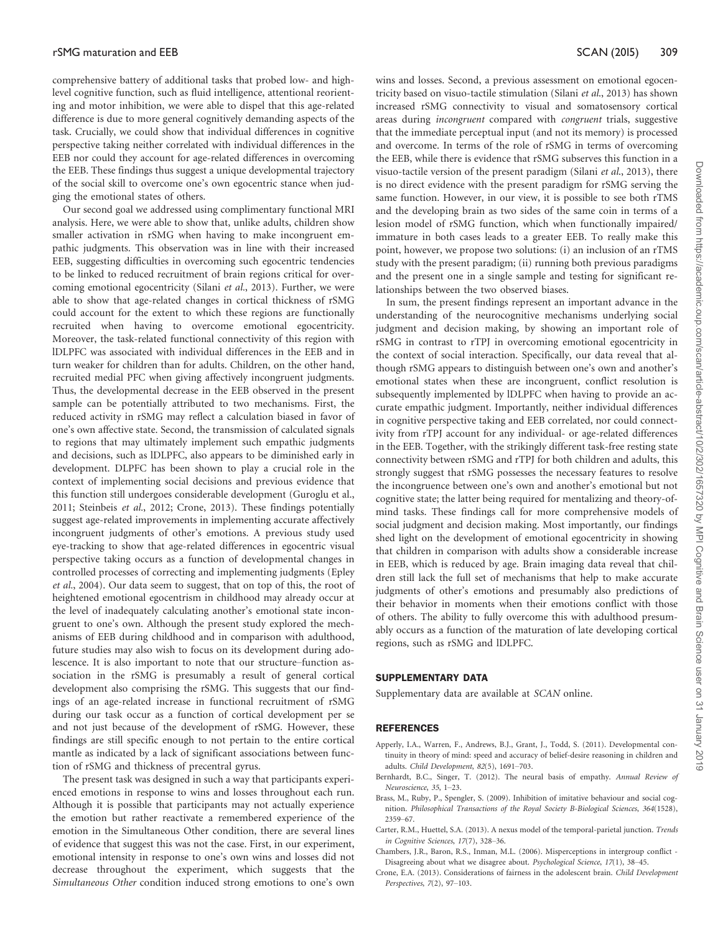<span id="page-7-0"></span>comprehensive battery of additional tasks that probed low- and highlevel cognitive function, such as fluid intelligence, attentional reorienting and motor inhibition, we were able to dispel that this age-related difference is due to more general cognitively demanding aspects of the task. Crucially, we could show that individual differences in cognitive perspective taking neither correlated with individual differences in the EEB nor could they account for age-related differences in overcoming the EEB. These findings thus suggest a unique developmental trajectory of the social skill to overcome one's own egocentric stance when judging the emotional states of others.

Our second goal we addressed using complimentary functional MRI analysis. Here, we were able to show that, unlike adults, children show smaller activation in rSMG when having to make incongruent empathic judgments. This observation was in line with their increased EEB, suggesting difficulties in overcoming such egocentric tendencies to be linked to reduced recruitment of brain regions critical for over-coming emotional egocentricity (Silani et al.[, 2013\)](#page-8-0). Further, we were able to show that age-related changes in cortical thickness of rSMG could account for the extent to which these regions are functionally recruited when having to overcome emotional egocentricity. Moreover, the task-related functional connectivity of this region with lDLPFC was associated with individual differences in the EEB and in turn weaker for children than for adults. Children, on the other hand, recruited medial PFC when giving affectively incongruent judgments. Thus, the developmental decrease in the EEB observed in the present sample can be potentially attributed to two mechanisms. First, the reduced activity in rSMG may reflect a calculation biased in favor of one's own affective state. Second, the transmission of calculated signals to regions that may ultimately implement such empathic judgments and decisions, such as lDLPFC, also appears to be diminished early in development. DLPFC has been shown to play a crucial role in the context of implementing social decisions and previous evidence that this function still undergoes considerable development [\(Guroglu et al.,](#page-8-0) [2011; Steinbeis](#page-8-0) et al., 2012; Crone, 2013). These findings potentially suggest age-related improvements in implementing accurate affectively incongruent judgments of other's emotions. A previous study used eye-tracking to show that age-related differences in egocentric visual perspective taking occurs as a function of developmental changes in controlled processes of correcting and implementing judgments ([Epley](#page-8-0) et al.[, 2004\)](#page-8-0). Our data seem to suggest, that on top of this, the root of heightened emotional egocentrism in childhood may already occur at the level of inadequately calculating another's emotional state incongruent to one's own. Although the present study explored the mechanisms of EEB during childhood and in comparison with adulthood, future studies may also wish to focus on its development during adolescence. It is also important to note that our structure–function association in the rSMG is presumably a result of general cortical development also comprising the rSMG. This suggests that our findings of an age-related increase in functional recruitment of rSMG during our task occur as a function of cortical development per se and not just because of the development of rSMG. However, these findings are still specific enough to not pertain to the entire cortical mantle as indicated by a lack of significant associations between function of rSMG and thickness of precentral gyrus.

The present task was designed in such a way that participants experienced emotions in response to wins and losses throughout each run. Although it is possible that participants may not actually experience the emotion but rather reactivate a remembered experience of the emotion in the Simultaneous Other condition, there are several lines of evidence that suggest this was not the case. First, in our experiment, emotional intensity in response to one's own wins and losses did not decrease throughout the experiment, which suggests that the Simultaneous Other condition induced strong emotions to one's own

wins and losses. Second, a previous assessment on emotional egocentricity based on visuo-tactile stimulation (Silani et al[., 2013](#page-8-0)) has shown increased rSMG connectivity to visual and somatosensory cortical areas during incongruent compared with congruent trials, suggestive that the immediate perceptual input (and not its memory) is processed and overcome. In terms of the role of rSMG in terms of overcoming the EEB, while there is evidence that rSMG subserves this function in a visuo-tactile version of the present paradigm (Silani et al[., 2013](#page-8-0)), there is no direct evidence with the present paradigm for rSMG serving the same function. However, in our view, it is possible to see both rTMS and the developing brain as two sides of the same coin in terms of a lesion model of rSMG function, which when functionally impaired/ immature in both cases leads to a greater EEB. To really make this point, however, we propose two solutions: (i) an inclusion of an rTMS study with the present paradigm; (ii) running both previous paradigms and the present one in a single sample and testing for significant relationships between the two observed biases.

In sum, the present findings represent an important advance in the understanding of the neurocognitive mechanisms underlying social judgment and decision making, by showing an important role of rSMG in contrast to rTPJ in overcoming emotional egocentricity in the context of social interaction. Specifically, our data reveal that although rSMG appears to distinguish between one's own and another's emotional states when these are incongruent, conflict resolution is subsequently implemented by lDLPFC when having to provide an accurate empathic judgment. Importantly, neither individual differences in cognitive perspective taking and EEB correlated, nor could connectivity from rTPJ account for any individual- or age-related differences in the EEB. Together, with the strikingly different task-free resting state connectivity between rSMG and rTPJ for both children and adults, this strongly suggest that rSMG possesses the necessary features to resolve the incongruence between one's own and another's emotional but not cognitive state; the latter being required for mentalizing and theory-ofmind tasks. These findings call for more comprehensive models of social judgment and decision making. Most importantly, our findings shed light on the development of emotional egocentricity in showing that children in comparison with adults show a considerable increase in EEB, which is reduced by age. Brain imaging data reveal that children still lack the full set of mechanisms that help to make accurate judgments of other's emotions and presumably also predictions of their behavior in moments when their emotions conflict with those of others. The ability to fully overcome this with adulthood presumably occurs as a function of the maturation of late developing cortical regions, such as rSMG and lDLPFC.

#### SUPPLEMENTARY DATA

[Supplementary data](http://scan.oxfordjournals.org/lookup/suppl/doi:10.1093/scan/nsu057/-/DC1) are available at SCAN online.

#### REFERENCES

- Apperly, I.A., Warren, F., Andrews, B.J., Grant, J., Todd, S. (2011). Developmental continuity in theory of mind: speed and accuracy of belief-desire reasoning in children and adults. Child Development, 82(5), 1691–703.
- Bernhardt, B.C., Singer, T. (2012). The neural basis of empathy. Annual Review of Neuroscience, 35, 1–23.
- Brass, M., Ruby, P., Spengler, S. (2009). Inhibition of imitative behaviour and social cognition. Philosophical Transactions of the Royal Society B-Biological Sciences, 364(1528), 2359–67.
- Carter, R.M., Huettel, S.A. (2013). A nexus model of the temporal-parietal junction. Trends in Cognitive Sciences, 17(7), 328–36.
- Chambers, J.R., Baron, R.S., Inman, M.L. (2006). Misperceptions in intergroup conflict Disagreeing about what we disagree about. Psychological Science, 17(1), 38–45.
- Crone, E.A. (2013). Considerations of fairness in the adolescent brain. Child Development Perspectives, 7(2), 97–103.